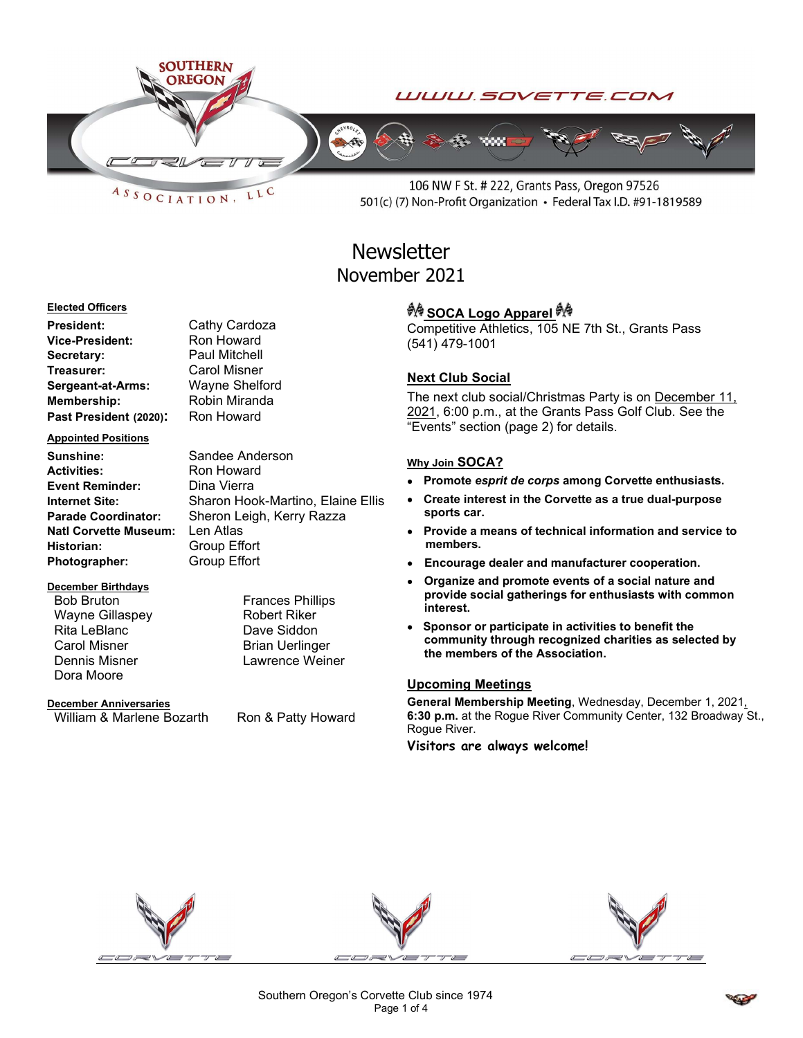

 $ASSOCIATION$ LLC

106 NW F St. # 222, Grants Pass, Oregon 97526 501(c) (7) Non-Profit Organization • Federal Tax I.D. #91-1819589

# **Newsletter** November 2021

#### Elected Officers

President: Cathy Cardoza Vice-President: Ron Howard Secretary: Paul Mitchell Treasurer: Carol Misner Sergeant-at-Arms: Wayne Shelford Membership: Robin Miranda Past President (2020): Ron Howard

#### Appointed Positions

Sunshine: Sandee Anderson Activities: Ron Howard Event Reminder: Dina Vierra Natl Corvette Museum: Len Atlas Historian: Group Effort Photographer: Group Effort

#### December Birthdays

Wayne Gillaspey **Robert Riker** Rita LeBlanc Dave Siddon Carol Misner **Brian Uerlinger** Dora Moore

#### December Anniversaries

William & Marlene Bozarth Ron & Patty Howard

Internet Site: Sharon Hook-Martino, Elaine Ellis Parade Coordinator: Sheron Leigh, Kerry Razza

Bob Bruton **Frances Phillips** Dennis Misner **Lawrence Weiner** 

*<sup>ঞ্চুৰু</sup>* SOCA Logo Apparel <sup>കൃ</sup> Competitive Athletics, 105 NE 7th St., Grants Pass (541) 479-1001

#### Next Club Social

The next club social/Christmas Party is on December 11, 2021, 6:00 p.m., at the Grants Pass Golf Club. See the "Events" section (page 2) for details.

#### Why Join SOCA?

- Promote esprit de corps among Corvette enthusiasts.
- Create interest in the Corvette as a true dual-purpose sports car.
- Provide a means of technical information and service to members.
- Encourage dealer and manufacturer cooperation.
- Organize and promote events of a social nature and provide social gatherings for enthusiasts with common interest.
- Sponsor or participate in activities to benefit the community through recognized charities as selected by the members of the Association.

#### Upcoming Meetings

General Membership Meeting, Wednesday, December 1, 2021. 6:30 p.m. at the Rogue River Community Center, 132 Broadway St., Rogue River.

Visitors are always welcome!



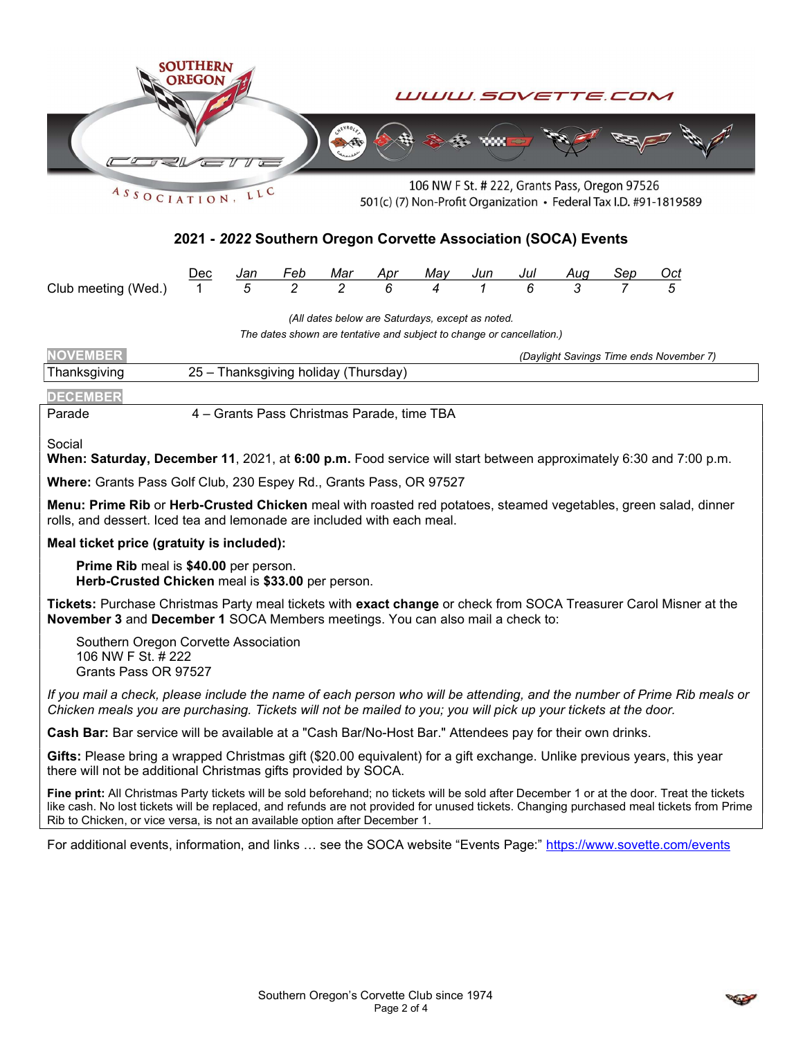

 $ASSOCIATION$ LLC 501(c) (7) Non-Profit Organization • Federal Tax I.D. #91-1819589

### 2021 - 2022 Southern Oregon Corvette Association (SOCA) Events

|                                           |  |  |  |  | Jan Feb Mar Apr May Jun Jul Aug Sep Oct |  |
|-------------------------------------------|--|--|--|--|-----------------------------------------|--|
| Club meeting (Wed.) 1 5 2 2 6 4 1 6 3 7 5 |  |  |  |  |                                         |  |

(All dates below are Saturdays, except as noted.

The dates shown are tentative and subject to change or cancellation.)

| <b>NOVEMBER</b> |                                            | (Daylight Savings Time ends November 7) |
|-----------------|--------------------------------------------|-----------------------------------------|
| Thanksgiving    | 25 – Thanksgiving holiday (Thursday)       |                                         |
| <b>DECEMBER</b> |                                            |                                         |
| Parade          | 4 – Grants Pass Christmas Parade, time TBA |                                         |

Social

When: Saturday, December 11, 2021, at 6:00 p.m. Food service will start between approximately 6:30 and 7:00 p.m.

Where: Grants Pass Golf Club, 230 Espey Rd., Grants Pass, OR 97527

Menu: Prime Rib or Herb-Crusted Chicken meal with roasted red potatoes, steamed vegetables, green salad, dinner rolls, and dessert. Iced tea and lemonade are included with each meal.

#### Meal ticket price (gratuity is included):

 Prime Rib meal is \$40.00 per person. Herb-Crusted Chicken meal is \$33.00 per person.

Tickets: Purchase Christmas Party meal tickets with exact change or check from SOCA Treasurer Carol Misner at the November 3 and December 1 SOCA Members meetings. You can also mail a check to:

 Southern Oregon Corvette Association 106 NW F St. # 222 Grants Pass OR 97527

If you mail a check, please include the name of each person who will be attending, and the number of Prime Rib meals or Chicken meals you are purchasing. Tickets will not be mailed to you; you will pick up your tickets at the door.

Cash Bar: Bar service will be available at a "Cash Bar/No-Host Bar." Attendees pay for their own drinks.

Gifts: Please bring a wrapped Christmas gift (\$20.00 equivalent) for a gift exchange. Unlike previous years, this year there will not be additional Christmas gifts provided by SOCA.

Fine print: All Christmas Party tickets will be sold beforehand; no tickets will be sold after December 1 or at the door. Treat the tickets like cash. No lost tickets will be replaced, and refunds are not provided for unused tickets. Changing purchased meal tickets from Prime Rib to Chicken, or vice versa, is not an available option after December 1.

For additional events, information, and links … see the SOCA website "Events Page:" https://www.sovette.com/events

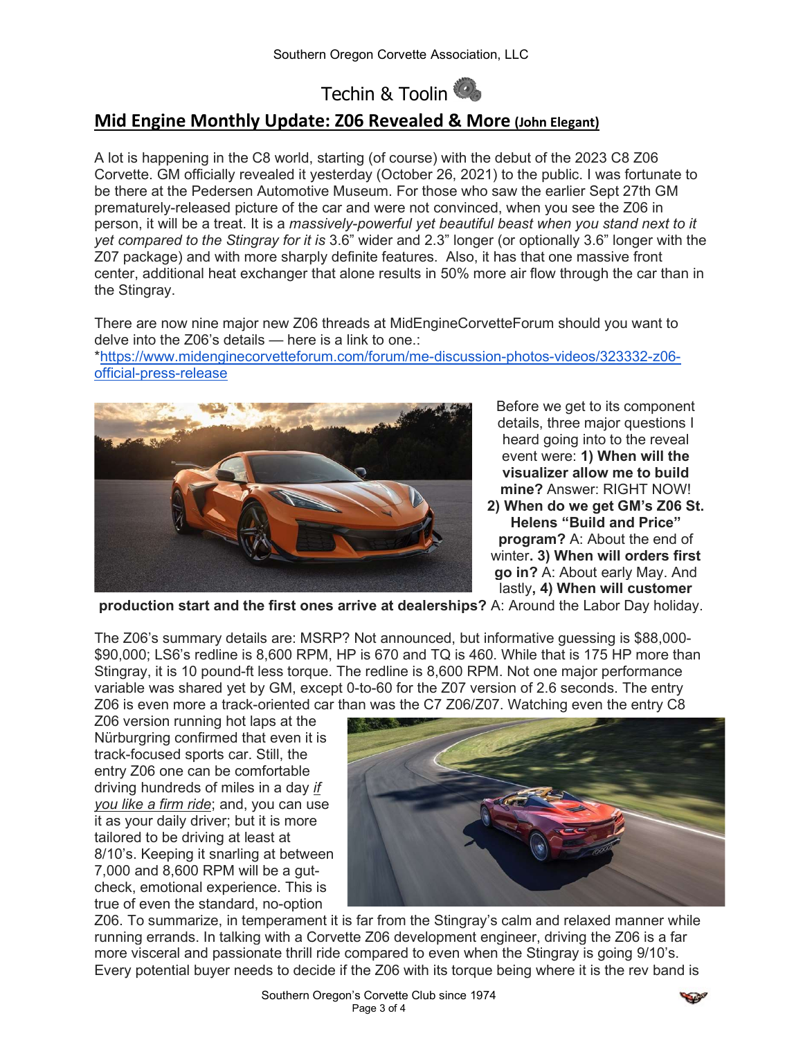Techin & Toolin

## Mid Engine Monthly Update: Z06 Revealed & More (John Elegant)

A lot is happening in the C8 world, starting (of course) with the debut of the 2023 C8 Z06 Corvette. GM officially revealed it yesterday (October 26, 2021) to the public. I was fortunate to be there at the Pedersen Automotive Museum. For those who saw the earlier Sept 27th GM prematurely-released picture of the car and were not convinced, when you see the Z06 in person, it will be a treat. It is a massively-powerful yet beautiful beast when you stand next to it yet compared to the Stingray for it is 3.6" wider and 2.3" longer (or optionally 3.6" longer with the Z07 package) and with more sharply definite features. Also, it has that one massive front center, additional heat exchanger that alone results in 50% more air flow through the car than in the Stingray.

There are now nine major new Z06 threads at MidEngineCorvetteForum should you want to delve into the Z06's details — here is a link to one.:

\*https://www.midenginecorvetteforum.com/forum/me-discussion-photos-videos/323332-z06 official-press-release



Before we get to its component details, three major questions I heard going into to the reveal event were: 1) When will the visualizer allow me to build mine? Answer: RIGHT NOW! 2) When do we get GM's Z06 St. Helens "Build and Price" program? A: About the end of winter. 3) When will orders first go in? A: About early May. And

lastly, 4) When will customer

production start and the first ones arrive at dealerships? A: Around the Labor Day holiday.

The Z06's summary details are: MSRP? Not announced, but informative guessing is \$88,000- \$90,000; LS6's redline is 8,600 RPM, HP is 670 and TQ is 460. While that is 175 HP more than Stingray, it is 10 pound-ft less torque. The redline is 8,600 RPM. Not one major performance variable was shared yet by GM, except 0-to-60 for the Z07 version of 2.6 seconds. The entry Z06 is even more a track-oriented car than was the C7 Z06/Z07. Watching even the entry C8

Z06 version running hot laps at the Nürburgring confirmed that even it is track-focused sports car. Still, the entry Z06 one can be comfortable driving hundreds of miles in a day if you like a firm ride; and, you can use it as your daily driver; but it is more tailored to be driving at least at 8/10's. Keeping it snarling at between 7,000 and 8,600 RPM will be a gutcheck, emotional experience. This is true of even the standard, no-option



Z06. To summarize, in temperament it is far from the Stingray's calm and relaxed manner while running errands. In talking with a Corvette Z06 development engineer, driving the Z06 is a far more visceral and passionate thrill ride compared to even when the Stingray is going 9/10's. Every potential buyer needs to decide if the Z06 with its torque being where it is the rev band is